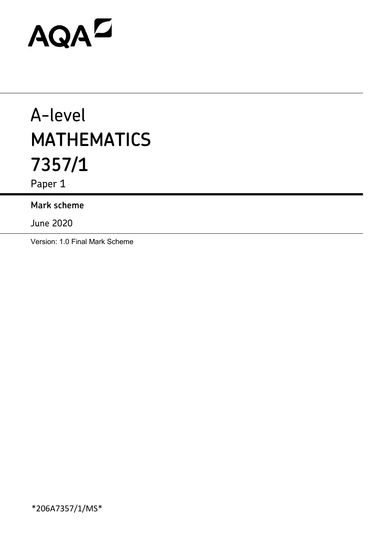# AQAD

# A-level **MATHEMATICS 7357/1**

Paper 1

## **Mark scheme**

June 2020

Version: 1.0 Final Mark Scheme

\*206A7357/1/MS\*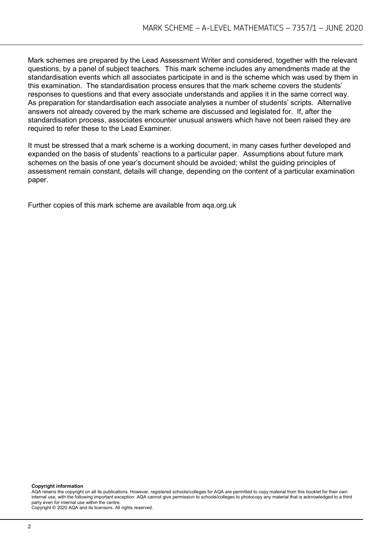Mark schemes are prepared by the Lead Assessment Writer and considered, together with the relevant questions, by a panel of subject teachers. This mark scheme includes any amendments made at the standardisation events which all associates participate in and is the scheme which was used by them in this examination. The standardisation process ensures that the mark scheme covers the students' responses to questions and that every associate understands and applies it in the same correct way. As preparation for standardisation each associate analyses a number of students' scripts. Alternative answers not already covered by the mark scheme are discussed and legislated for. If, after the standardisation process, associates encounter unusual answers which have not been raised they are required to refer these to the Lead Examiner.

It must be stressed that a mark scheme is a working document, in many cases further developed and expanded on the basis of students' reactions to a particular paper. Assumptions about future mark schemes on the basis of one year's document should be avoided; whilst the guiding principles of assessment remain constant, details will change, depending on the content of a particular examination paper.

Further copies of this mark scheme are available from aqa.org.uk

#### **Copyright information**

AQA retains the copyright on all its publications. However, registered schools/colleges for AQA are permitted to copy material from this booklet for their own internal use, with the following important exception: AQA cannot give permission to schools/colleges to photocopy any material that is acknowledged to a third party even for internal use within the centre.

Copyright © 2020 AQA and its licensors. All rights reserved.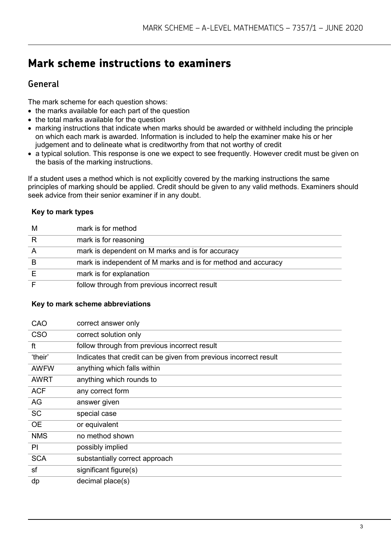# **Mark scheme instructions to examiners**

### **General**

The mark scheme for each question shows:

- the marks available for each part of the question
- the total marks available for the question
- marking instructions that indicate when marks should be awarded or withheld including the principle on which each mark is awarded. Information is included to help the examiner make his or her judgement and to delineate what is creditworthy from that not worthy of credit
- a typical solution. This response is one we expect to see frequently. However credit must be given on the basis of the marking instructions.

If a student uses a method which is not explicitly covered by the marking instructions the same principles of marking should be applied. Credit should be given to any valid methods. Examiners should seek advice from their senior examiner if in any doubt.

#### **Key to mark types**

| M | mark is for method                                            |
|---|---------------------------------------------------------------|
| R | mark is for reasoning                                         |
|   | mark is dependent on M marks and is for accuracy              |
|   | mark is independent of M marks and is for method and accuracy |
|   | mark is for explanation                                       |
|   | follow through from previous incorrect result                 |

#### **Key to mark scheme abbreviations**

| CAO         | correct answer only                                               |
|-------------|-------------------------------------------------------------------|
| <b>CSO</b>  | correct solution only                                             |
| ft          | follow through from previous incorrect result                     |
| 'their'     | Indicates that credit can be given from previous incorrect result |
| <b>AWFW</b> | anything which falls within                                       |
| <b>AWRT</b> | anything which rounds to                                          |
| <b>ACF</b>  | any correct form                                                  |
| AG          | answer given                                                      |
| <b>SC</b>   | special case                                                      |
| <b>OE</b>   | or equivalent                                                     |
| <b>NMS</b>  | no method shown                                                   |
| PI          | possibly implied                                                  |
| <b>SCA</b>  | substantially correct approach                                    |
| sf          | significant figure(s)                                             |
| dp          | decimal place(s)                                                  |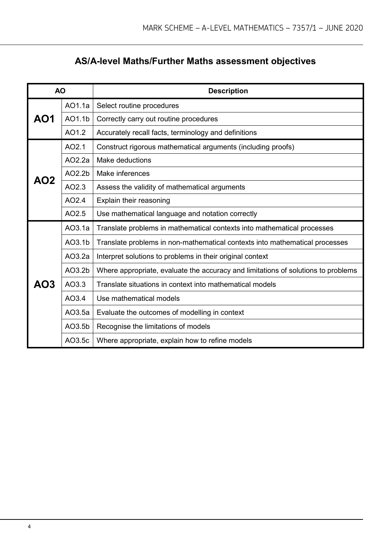# **AS/A-level Maths/Further Maths assessment objectives**

| <b>AO</b> |                    | <b>Description</b>                                                                |  |  |  |  |
|-----------|--------------------|-----------------------------------------------------------------------------------|--|--|--|--|
|           | AO1.1a             | Select routine procedures                                                         |  |  |  |  |
| AO1       | AO1.1b             | Correctly carry out routine procedures                                            |  |  |  |  |
|           | AO1.2              | Accurately recall facts, terminology and definitions                              |  |  |  |  |
|           | AO2.1              | Construct rigorous mathematical arguments (including proofs)                      |  |  |  |  |
|           | AO2.2a             | <b>Make deductions</b>                                                            |  |  |  |  |
| AO2       | AO2.2b             | Make inferences                                                                   |  |  |  |  |
|           | AO2.3              | Assess the validity of mathematical arguments                                     |  |  |  |  |
|           | AO2.4              | Explain their reasoning                                                           |  |  |  |  |
|           | AO2.5              | Use mathematical language and notation correctly                                  |  |  |  |  |
|           | AO3.1a             | Translate problems in mathematical contexts into mathematical processes           |  |  |  |  |
|           | AO3.1 <sub>b</sub> | Translate problems in non-mathematical contexts into mathematical processes       |  |  |  |  |
|           | AO3.2a             | Interpret solutions to problems in their original context                         |  |  |  |  |
|           | AO3.2b             | Where appropriate, evaluate the accuracy and limitations of solutions to problems |  |  |  |  |
| AO3       | AO3.3              | Translate situations in context into mathematical models                          |  |  |  |  |
|           | AO3.4              | Use mathematical models                                                           |  |  |  |  |
|           | AO3.5a             | Evaluate the outcomes of modelling in context                                     |  |  |  |  |
|           | AO3.5b             | Recognise the limitations of models                                               |  |  |  |  |
|           | AO3.5c             | Where appropriate, explain how to refine models                                   |  |  |  |  |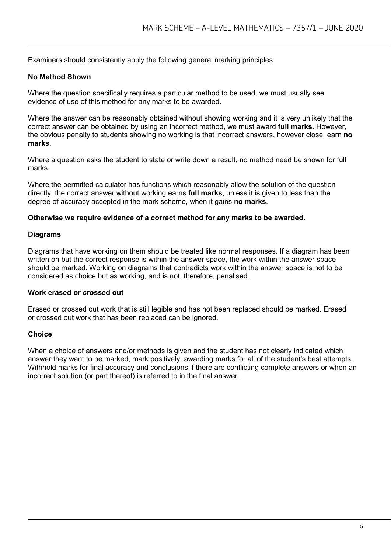Examiners should consistently apply the following general marking principles

#### **No Method Shown**

Where the question specifically requires a particular method to be used, we must usually see evidence of use of this method for any marks to be awarded.

Where the answer can be reasonably obtained without showing working and it is very unlikely that the correct answer can be obtained by using an incorrect method, we must award **full marks**. However, the obvious penalty to students showing no working is that incorrect answers, however close, earn **no marks**.

Where a question asks the student to state or write down a result, no method need be shown for full marks.

Where the permitted calculator has functions which reasonably allow the solution of the question directly, the correct answer without working earns **full marks**, unless it is given to less than the degree of accuracy accepted in the mark scheme, when it gains **no marks**.

#### **Otherwise we require evidence of a correct method for any marks to be awarded.**

#### **Diagrams**

Diagrams that have working on them should be treated like normal responses. If a diagram has been written on but the correct response is within the answer space, the work within the answer space should be marked. Working on diagrams that contradicts work within the answer space is not to be considered as choice but as working, and is not, therefore, penalised.

#### **Work erased or crossed out**

Erased or crossed out work that is still legible and has not been replaced should be marked. Erased or crossed out work that has been replaced can be ignored.

#### **Choice**

When a choice of answers and/or methods is given and the student has not clearly indicated which answer they want to be marked, mark positively, awarding marks for all of the student's best attempts. Withhold marks for final accuracy and conclusions if there are conflicting complete answers or when an incorrect solution (or part thereof) is referred to in the final answer.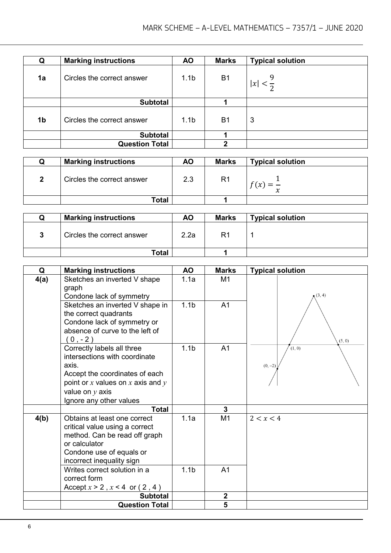| Q              | <b>Marking instructions</b> | <b>AO</b>        | <b>Marks</b> | <b>Typical solution</b> |
|----------------|-----------------------------|------------------|--------------|-------------------------|
| 1a             | Circles the correct answer  | 1.1 <sub>b</sub> | <b>B1</b>    | x                       |
|                | <b>Subtotal</b>             |                  |              |                         |
| 1 <sub>b</sub> | Circles the correct answer  | 1.1 <sub>b</sub> | <b>B1</b>    | 3                       |
|                | <b>Subtotal</b>             |                  |              |                         |
|                | <b>Question Total</b>       |                  | っ            |                         |

| w | <b>Marking instructions</b> | ΑO  | <b>Marks</b>   | <b>Typical solution</b> |
|---|-----------------------------|-----|----------------|-------------------------|
|   | Circles the correct answer  | 2.3 | R <sub>1</sub> | ∼                       |
|   | Total                       |     |                |                         |

| <b>Marking instructions</b> | <b>AO</b> | <b>Marks</b> | <b>Typical solution</b> |
|-----------------------------|-----------|--------------|-------------------------|
| Circles the correct answer  | 2.2a      | R1           |                         |
| Total                       |           |              |                         |

| Q    | <b>Marking instructions</b>                                                                                                                                                                       | <b>AO</b>        | <b>Marks</b>   | <b>Typical solution</b> |
|------|---------------------------------------------------------------------------------------------------------------------------------------------------------------------------------------------------|------------------|----------------|-------------------------|
| 4(a) | Sketches an inverted V shape<br>graph<br>Condone lack of symmetry                                                                                                                                 | 1.1a             | M <sub>1</sub> | (3, 4)                  |
|      | Sketches an inverted V shape in<br>the correct quadrants<br>Condone lack of symmetry or<br>absence of curve to the left of<br>$0, -2)$                                                            | 1.1 <sub>b</sub> | A <sub>1</sub> | (5, 0)                  |
|      | Correctly labels all three<br>intersections with coordinate<br>axis.<br>Accept the coordinates of each<br>point or $x$ values on $x$ axis and $y$<br>value on $y$ axis<br>Ignore any other values | 1.1 <sub>b</sub> | A <sub>1</sub> | (1, 0)<br>$(0, -2)$     |
|      | <b>Total</b>                                                                                                                                                                                      |                  | 3              |                         |
| 4(b) | Obtains at least one correct<br>critical value using a correct<br>method. Can be read off graph<br>or calculator<br>Condone use of equals or<br>incorrect inequality sign                         | 1.1a             | M <sub>1</sub> | 2 < x < 4               |
|      | Writes correct solution in a<br>correct form<br>Accept $x > 2$ , $x < 4$ or $(2, 4)$                                                                                                              | 1.1 <sub>b</sub> | A <sub>1</sub> |                         |
|      | <b>Subtotal</b>                                                                                                                                                                                   |                  | $\mathbf 2$    |                         |
|      | <b>Question Total</b>                                                                                                                                                                             |                  | 5              |                         |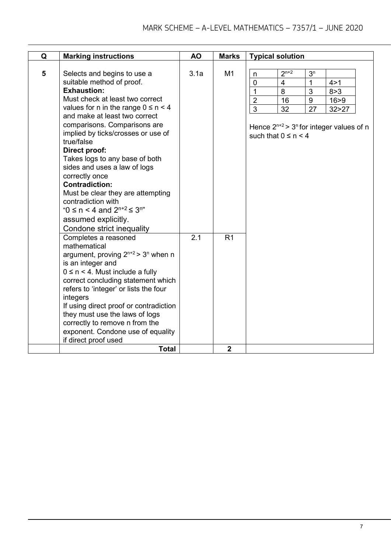| $2^{n+2}$<br>5<br>3.1a<br>M <sub>1</sub><br>Selects and begins to use a<br>3 <sup>n</sup><br>n<br>suitable method of proof.<br>$\mathbf{1}$<br>$\mathbf 0$<br>$\overline{4}$<br>4 > 1<br><b>Exhaustion:</b><br>$\overline{1}$<br>$\overline{3}$<br>8<br>8 > 3<br>Must check at least two correct<br>$\overline{2}$<br>9<br>16<br>16 > 9<br>values for n in the range $0 \le n < 4$<br>$\overline{3}$<br>27<br>32<br>32 > 27<br>and make at least two correct<br>comparisons. Comparisons are<br>implied by ticks/crosses or use of<br>such that $0 \le n \le 4$<br>true/false<br>Direct proof:<br>Takes logs to any base of both<br>sides and uses a law of logs<br>correctly once<br><b>Contradiction:</b><br>Must be clear they are attempting<br>contradiction with<br>"0 $\leq$ n < 4 and $2^{n+2} \leq 3^{n}$ "<br>assumed explicitly.<br>Condone strict inequality<br>2.1<br>R <sub>1</sub><br>Completes a reasoned<br>mathematical<br>argument, proving $2^{n+2}$ > $3^n$ when n<br>is an integer and<br>$0 \le n \le 4$ . Must include a fully<br>correct concluding statement which<br>refers to 'integer' or lists the four<br>integers<br>If using direct proof or contradiction<br>they must use the laws of logs<br>correctly to remove n from the<br>exponent. Condone use of equality | Q | <b>Marking instructions</b> | <b>AO</b> | <b>Marks</b> | <b>Typical solution</b>                                  |
|------------------------------------------------------------------------------------------------------------------------------------------------------------------------------------------------------------------------------------------------------------------------------------------------------------------------------------------------------------------------------------------------------------------------------------------------------------------------------------------------------------------------------------------------------------------------------------------------------------------------------------------------------------------------------------------------------------------------------------------------------------------------------------------------------------------------------------------------------------------------------------------------------------------------------------------------------------------------------------------------------------------------------------------------------------------------------------------------------------------------------------------------------------------------------------------------------------------------------------------------------------------------------------------------------|---|-----------------------------|-----------|--------------|----------------------------------------------------------|
|                                                                                                                                                                                                                                                                                                                                                                                                                                                                                                                                                                                                                                                                                                                                                                                                                                                                                                                                                                                                                                                                                                                                                                                                                                                                                                      |   |                             |           |              |                                                          |
|                                                                                                                                                                                                                                                                                                                                                                                                                                                                                                                                                                                                                                                                                                                                                                                                                                                                                                                                                                                                                                                                                                                                                                                                                                                                                                      |   |                             |           |              | Hence $2^{n+2}$ > 3 <sup>n</sup> for integer values of n |
| <b>Total</b><br>$\overline{2}$                                                                                                                                                                                                                                                                                                                                                                                                                                                                                                                                                                                                                                                                                                                                                                                                                                                                                                                                                                                                                                                                                                                                                                                                                                                                       |   | if direct proof used        |           |              |                                                          |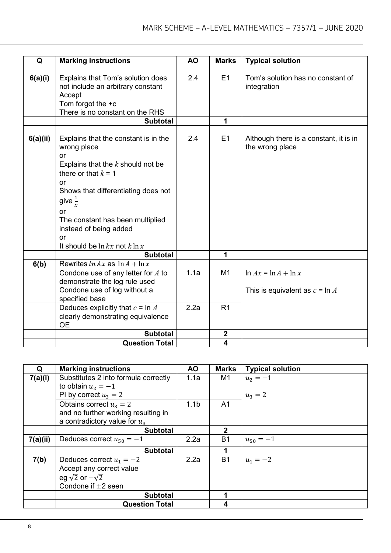| Q        | <b>Marking instructions</b>                                                                                                                                                                                                                                                    | <b>AO</b> | <b>Marks</b>     | <b>Typical solution</b>                                       |
|----------|--------------------------------------------------------------------------------------------------------------------------------------------------------------------------------------------------------------------------------------------------------------------------------|-----------|------------------|---------------------------------------------------------------|
|          |                                                                                                                                                                                                                                                                                |           |                  |                                                               |
| 6(a)(i)  | Explains that Tom's solution does<br>not include an arbitrary constant<br>Accept<br>Tom forgot the $+c$<br>There is no constant on the RHS                                                                                                                                     | 2.4       | E1               | Tom's solution has no constant of<br>integration              |
|          | <b>Subtotal</b>                                                                                                                                                                                                                                                                |           | 1                |                                                               |
| 6(a)(ii) | Explains that the constant is in the<br>wrong place<br><b>or</b><br>Explains that the $k$ should not be<br>there or that $k = 1$<br><b>or</b><br>Shows that differentiating does not<br>give $\frac{1}{r}$<br>or<br>The constant has been multiplied<br>instead of being added | 2.4       | E1               | Although there is a constant, it is in<br>the wrong place     |
|          | <b>or</b>                                                                                                                                                                                                                                                                      |           |                  |                                                               |
|          | It should be $\ln kx$ not $k \ln x$                                                                                                                                                                                                                                            |           |                  |                                                               |
|          | <b>Subtotal</b>                                                                                                                                                                                                                                                                |           | 1                |                                                               |
| 6(b)     | Rewrites $\ln Ax$ as $\ln A + \ln x$<br>Condone use of any letter for $A$ to<br>demonstrate the log rule used<br>Condone use of log without a<br>specified base                                                                                                                | 1.1a      | M1               | $\ln Ax = \ln A + \ln x$<br>This is equivalent as $c = \ln A$ |
|          | Deduces explicitly that $c = \ln A$<br>clearly demonstrating equivalence<br><b>OE</b>                                                                                                                                                                                          | 2.2a      | R <sub>1</sub>   |                                                               |
|          | <b>Subtotal</b>                                                                                                                                                                                                                                                                |           | $\boldsymbol{2}$ |                                                               |
|          | <b>Question Total</b>                                                                                                                                                                                                                                                          |           | 4                |                                                               |

| Q        | <b>Marking instructions</b>          | <b>AO</b>        | <b>Marks</b>   | <b>Typical solution</b> |
|----------|--------------------------------------|------------------|----------------|-------------------------|
| 7(a)(i)  | Substitutes 2 into formula correctly | 1.1a             | M1             | $u_2 = -1$              |
|          | to obtain $u_2 = -1$                 |                  |                |                         |
|          | PI by correct $u_3 = 2$              |                  |                | $u_3 = 2$               |
|          | Obtains correct $u_3 = 2$            | 1.1 <sub>b</sub> | A <sub>1</sub> |                         |
|          | and no further working resulting in  |                  |                |                         |
|          | a contradictory value for $u_3$      |                  |                |                         |
|          | <b>Subtotal</b>                      |                  | $\mathbf{2}$   |                         |
| 7(a)(ii) | Deduces correct $u_{50} = -1$        | 2.2a             | <b>B1</b>      | $u_{50} = -1$           |
|          | <b>Subtotal</b>                      |                  | 1              |                         |
| 7(b)     | Deduces correct $u_1 = -2$           | 2.2a             | <b>B1</b>      | $u_1 = -2$              |
|          | Accept any correct value             |                  |                |                         |
|          | eg $\sqrt{2}$ or $-\sqrt{2}$         |                  |                |                         |
|          | Condone if $+2$ seen                 |                  |                |                         |
|          | <b>Subtotal</b>                      |                  | 1              |                         |
|          | <b>Question Total</b>                |                  | 4              |                         |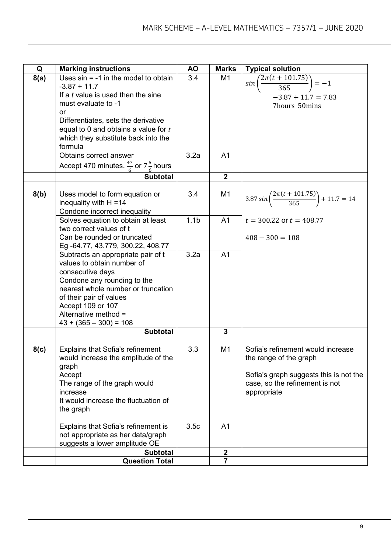| Q    | <b>Marking instructions</b>                                             | <b>AO</b>        | <b>Marks</b>            | <b>Typical solution</b>                                              |
|------|-------------------------------------------------------------------------|------------------|-------------------------|----------------------------------------------------------------------|
| 8(a) | Uses $sin = -1$ in the model to obtain                                  | 3.4              | M <sub>1</sub>          | $sin\left(\frac{2\pi(t+101.75)}{365}\right) = -1$                    |
|      | $-3.87 + 11.7$                                                          |                  |                         |                                                                      |
|      | If a t value is used then the sine                                      |                  |                         | $-3.87 + 11.7 = 7.83$                                                |
|      | must evaluate to -1<br><b>or</b>                                        |                  |                         | 7hours 50mins                                                        |
|      | Differentiates, sets the derivative                                     |                  |                         |                                                                      |
|      | equal to 0 and obtains a value for $t$                                  |                  |                         |                                                                      |
|      | which they substitute back into the                                     |                  |                         |                                                                      |
|      | formula                                                                 |                  |                         |                                                                      |
|      | Obtains correct answer                                                  | 3.2a             | A <sub>1</sub>          |                                                                      |
|      | Accept 470 minutes, $\frac{47}{6}$ or 7 $\frac{5}{6}$ hours             |                  |                         |                                                                      |
|      | <b>Subtotal</b>                                                         |                  | $\overline{\mathbf{2}}$ |                                                                      |
|      |                                                                         |                  |                         |                                                                      |
| 8(b) | Uses model to form equation or                                          | 3.4              | M1                      | $3.87 \sin \left( \frac{2\pi (t + 101.75)}{365} \right) + 11.7 = 14$ |
|      | inequality with $H = 14$                                                |                  |                         |                                                                      |
|      | Condone incorrect inequality<br>Solves equation to obtain at least      | 1.1 <sub>b</sub> | A <sub>1</sub>          | $t = 300.22$ or $t = 408.77$                                         |
|      | two correct values of t                                                 |                  |                         |                                                                      |
|      | Can be rounded or truncated                                             |                  |                         | $408 - 300 = 108$                                                    |
|      | Eg -64.77, 43.779, 300.22, 408.77                                       |                  |                         |                                                                      |
|      | Subtracts an appropriate pair of t                                      | 3.2a             | A <sub>1</sub>          |                                                                      |
|      | values to obtain number of                                              |                  |                         |                                                                      |
|      | consecutive days                                                        |                  |                         |                                                                      |
|      | Condone any rounding to the<br>nearest whole number or truncation       |                  |                         |                                                                      |
|      | of their pair of values                                                 |                  |                         |                                                                      |
|      | Accept 109 or 107                                                       |                  |                         |                                                                      |
|      | Alternative method =                                                    |                  |                         |                                                                      |
|      | $43 + (365 - 300) = 108$                                                |                  |                         |                                                                      |
|      | <b>Subtotal</b>                                                         |                  | 3                       |                                                                      |
|      |                                                                         | 3.3              | M <sub>1</sub>          | Sofia's refinement would increase                                    |
| 8(c) | Explains that Sofia's refinement<br>would increase the amplitude of the |                  |                         | the range of the graph                                               |
|      | graph                                                                   |                  |                         |                                                                      |
|      | Accept                                                                  |                  |                         | Sofia's graph suggests this is not the                               |
|      | The range of the graph would                                            |                  |                         | case, so the refinement is not                                       |
|      | increase                                                                |                  |                         | appropriate                                                          |
|      | It would increase the fluctuation of                                    |                  |                         |                                                                      |
|      | the graph                                                               |                  |                         |                                                                      |
|      | Explains that Sofia's refinement is                                     | 3.5c             | A <sub>1</sub>          |                                                                      |
|      | not appropriate as her data/graph                                       |                  |                         |                                                                      |
|      | suggests a lower amplitude OE                                           |                  |                         |                                                                      |
|      | <b>Subtotal</b>                                                         |                  | $\boldsymbol{2}$        |                                                                      |
|      | <b>Question Total</b>                                                   |                  | $\overline{7}$          |                                                                      |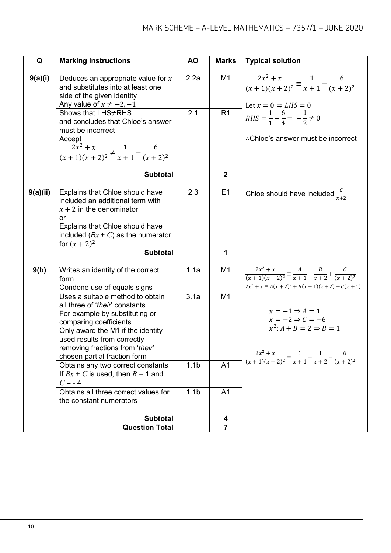| Q        | <b>Marking instructions</b>                                                                       | <b>AO</b>        | <b>Marks</b>   |                                                                                          |
|----------|---------------------------------------------------------------------------------------------------|------------------|----------------|------------------------------------------------------------------------------------------|
|          |                                                                                                   |                  |                | <b>Typical solution</b>                                                                  |
| 9(a)(i)  | Deduces an appropriate value for $x$<br>and substitutes into at least one                         | 2.2a             | M1             | $\frac{2x^2 + x}{(x+1)(x+2)^2} \equiv \frac{1}{x+1} - \frac{6}{(x+2)^2}$                 |
|          | side of the given identity                                                                        |                  |                |                                                                                          |
|          | Any value of $x \neq -2, -1$                                                                      |                  |                | Let $x = 0 \Rightarrow LHS = 0$                                                          |
|          | Shows that LHS≠RHS<br>and concludes that Chloe's answer<br>must be incorrect                      | 2.1              | R <sub>1</sub> | $RHS = \frac{1}{1} - \frac{6}{4} = -\frac{1}{2} \neq 0$                                  |
|          | Accept                                                                                            |                  |                | ∴Chloe's answer must be incorrect                                                        |
|          | $\frac{2x^2 + x}{(x+1)(x+2)^2} \neq \frac{1}{x+1} - \frac{6}{(x+2)^2}$                            |                  |                |                                                                                          |
|          | <b>Subtotal</b>                                                                                   |                  | $\mathbf{2}$   |                                                                                          |
| 9(a)(ii) | Explains that Chloe should have<br>included an additional term with<br>$x + 2$ in the denominator | 2.3              | E1             | Chloe should have included $\frac{c}{x+2}$                                               |
|          | or                                                                                                |                  |                |                                                                                          |
|          | Explains that Chloe should have<br>included $(Bx + C)$ as the numerator                           |                  |                |                                                                                          |
|          | for $(x + 2)^2$                                                                                   |                  |                |                                                                                          |
|          | <b>Subtotal</b>                                                                                   |                  | 1              |                                                                                          |
|          |                                                                                                   |                  |                |                                                                                          |
| 9(b)     | Writes an identity of the correct                                                                 | 1.1a             | M <sub>1</sub> | $\frac{2x^2 + x}{(x+1)(x+2)^2} \equiv \frac{A}{x+1} + \frac{B}{x+2} + \frac{C}{(x+2)^2}$ |
|          | form                                                                                              |                  |                |                                                                                          |
|          | Condone use of equals signs                                                                       |                  |                | $2x^2 + x \equiv A(x+2)^2 + B(x+1)(x+2) + C(x+1)$                                        |
|          | Uses a suitable method to obtain<br>all three of 'their' constants.                               | 3.1a             | M <sub>1</sub> |                                                                                          |
|          | For example by substituting or                                                                    |                  |                | $x = -1 \Rightarrow A = 1$                                                               |
|          | comparing coefficients                                                                            |                  |                | $x = -2 \Rightarrow C = -6$                                                              |
|          | Only award the M1 if the identity                                                                 |                  |                | $x^2$ : A + B = 2 $\Rightarrow$ B = 1                                                    |
|          | used results from correctly                                                                       |                  |                |                                                                                          |
|          | removing fractions from 'their'                                                                   |                  |                |                                                                                          |
|          | chosen partial fraction form<br>Obtains any two correct constants                                 | 1.1 <sub>b</sub> | A <sub>1</sub> | $\frac{2x^2 + x}{(x+1)(x+2)^2} \equiv \frac{1}{x+1} + \frac{1}{x+2} - \frac{6}{(x+2)^2}$ |
|          | If $Bx + C$ is used, then $B = 1$ and                                                             |                  |                |                                                                                          |
|          | $C = -4$                                                                                          |                  |                |                                                                                          |
|          | Obtains all three correct values for                                                              | 1.1 <sub>b</sub> | A1             |                                                                                          |
|          | the constant numerators                                                                           |                  |                |                                                                                          |
|          | <b>Subtotal</b>                                                                                   |                  | 4              |                                                                                          |
|          | <b>Question Total</b>                                                                             |                  | $\overline{7}$ |                                                                                          |
|          |                                                                                                   |                  |                |                                                                                          |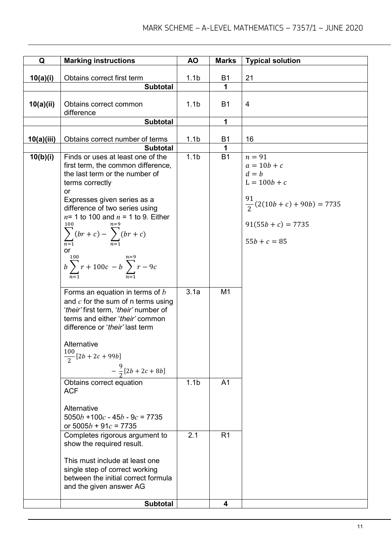| Q          | <b>Marking instructions</b>                                                                                                                                                                                                                                                                                                                                                                              | <b>AO</b>        | <b>Marks</b>   | <b>Typical solution</b>                                                                                                                     |
|------------|----------------------------------------------------------------------------------------------------------------------------------------------------------------------------------------------------------------------------------------------------------------------------------------------------------------------------------------------------------------------------------------------------------|------------------|----------------|---------------------------------------------------------------------------------------------------------------------------------------------|
|            | Obtains correct first term                                                                                                                                                                                                                                                                                                                                                                               |                  | <b>B1</b>      | 21                                                                                                                                          |
| 10(a)(i)   | <b>Subtotal</b>                                                                                                                                                                                                                                                                                                                                                                                          | 1.1 <sub>b</sub> | 1              |                                                                                                                                             |
| 10(a)(ii)  | Obtains correct common<br>difference                                                                                                                                                                                                                                                                                                                                                                     | 1.1 <sub>b</sub> | <b>B1</b>      | 4                                                                                                                                           |
|            | <b>Subtotal</b>                                                                                                                                                                                                                                                                                                                                                                                          |                  | 1              |                                                                                                                                             |
| 10(a)(iii) | Obtains correct number of terms<br><b>Subtotal</b>                                                                                                                                                                                                                                                                                                                                                       | 1.1 <sub>b</sub> | <b>B1</b><br>1 | 16                                                                                                                                          |
| 10(b)(i)   | Finds or uses at least one of the<br>first term, the common difference,<br>the last term or the number of<br>terms correctly<br><b>or</b><br>Expresses given series as a<br>difference of two series using<br>$n=1$ to 100 and $n=1$ to 9. Either<br>100<br>$\sum_{r=0}^{100} (br + c) - \sum_{r=0}^{n=9} (br + c)$<br>$\overline{n=1}$<br>or<br>$b\sum_{n=1}^{100} r + 100c - b\sum_{n=1}^{100} r - 9c$ | 1.1 <sub>b</sub> | <b>B1</b>      | $n = 91$<br>$a = 10b + c$<br>$d = b$<br>$L = 100b + c$<br>91<br>$\frac{51}{2}(2(10b+c)+90b)=7735$<br>$91(55b + c) = 7735$<br>$55b + c = 85$ |
|            | Forms an equation in terms of $b$<br>and $c$ for the sum of n terms using<br>'their' first term, 'their' number of<br>terms and either 'their' common<br>difference or 'their' last term<br>Alternative<br>100<br>$\frac{1}{2}$ [2b + 2c + 99b]<br>$-\frac{9}{2}[2b+2c+8b]$                                                                                                                              | 3.1a             | M <sub>1</sub> |                                                                                                                                             |
|            | Obtains correct equation<br><b>ACF</b><br>Alternative<br>$5050b + 100c - 45b - 9c = 7735$<br>or $5005b + 91c = 7735$                                                                                                                                                                                                                                                                                     | 1.1 <sub>b</sub> | A <sub>1</sub> |                                                                                                                                             |
|            | Completes rigorous argument to<br>show the required result.<br>This must include at least one<br>single step of correct working<br>between the initial correct formula<br>and the given answer AG                                                                                                                                                                                                        | 2.1              | R <sub>1</sub> |                                                                                                                                             |
|            | <b>Subtotal</b>                                                                                                                                                                                                                                                                                                                                                                                          |                  | 4              |                                                                                                                                             |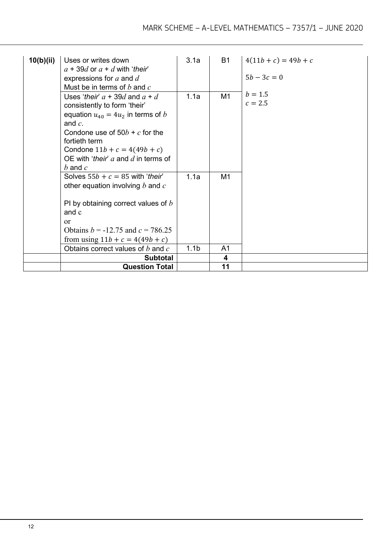| 10(b)(ii) | Uses or writes down<br>$a + 39d$ or $a + d$ with 'their'<br>expressions for $a$ and $d$<br>Must be in terms of $b$ and $c$                                                                                                                                               | 3.1a                     | <b>B1</b>                        | $4(11b + c) = 49b + c$<br>$5b - 3c = 0$ |
|-----------|--------------------------------------------------------------------------------------------------------------------------------------------------------------------------------------------------------------------------------------------------------------------------|--------------------------|----------------------------------|-----------------------------------------|
|           | Uses 'their' $a + 39d$ and $a + d$<br>consistently to form 'their'<br>equation $u_{40} = 4u_2$ in terms of b<br>and $c$ .<br>Condone use of $50b + c$ for the<br>fortieth term<br>Condone $11b + c = 4(49b + c)$<br>OE with 'their' $a$ and $d$ in terms of<br>b and $c$ | 1.1a                     | M <sub>1</sub>                   | $b = 1.5$<br>$c = 2.5$                  |
|           | Solves $55b + c = 85$ with 'their'<br>other equation involving $b$ and $c$<br>PI by obtaining correct values of $b$<br>and c<br>or<br>Obtains $b = -12.75$ and $c = 786.25$<br>from using $11b + c = 4(49b + c)$<br>Obtains correct values of $b$ and $c$                | 1.1a<br>1.1 <sub>b</sub> | M <sub>1</sub><br>A <sub>1</sub> |                                         |
|           | <b>Subtotal</b>                                                                                                                                                                                                                                                          |                          | 4                                |                                         |
|           | <b>Question Total</b>                                                                                                                                                                                                                                                    |                          | 11                               |                                         |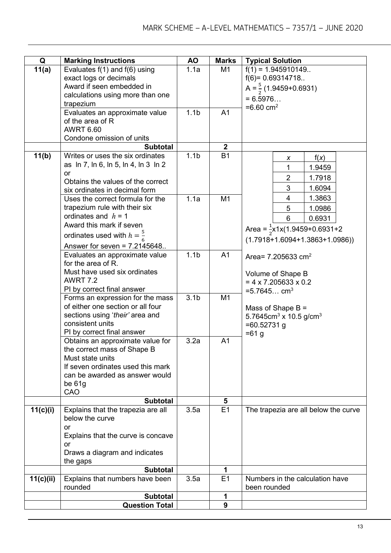| Q         | <b>Marking Instructions</b>                           | AO               | <b>Marks</b>   | <b>Typical Solution</b>                               |
|-----------|-------------------------------------------------------|------------------|----------------|-------------------------------------------------------|
| 11(a)     | Evaluates $f(1)$ and $f(6)$ using                     | 1.1a             | M1             | $f(1) = 1.945910149$                                  |
|           | exact logs or decimals                                |                  |                | $f(6) = 0.69314718$                                   |
|           | Award if seen embedded in                             |                  |                | A = $\frac{5}{2}$ (1.9459+0.6931)                     |
|           | calculations using more than one                      |                  |                |                                                       |
|           | trapezium                                             |                  |                | $= 6.5976$                                            |
|           | Evaluates an approximate value                        | 1.1 <sub>b</sub> | A <sub>1</sub> | $=6.60$ cm <sup>2</sup>                               |
|           | of the area of R                                      |                  |                |                                                       |
|           | <b>AWRT 6.60</b>                                      |                  |                |                                                       |
|           | Condone omission of units                             |                  |                |                                                       |
|           | <b>Subtotal</b>                                       |                  | $\mathbf{2}$   |                                                       |
| 11(b)     | Writes or uses the six ordinates                      | 1.1 <sub>b</sub> | <b>B1</b>      | f(x)<br>X                                             |
|           | as ln 7, ln 6, ln 5, ln 4, ln 3 ln 2                  |                  |                | 1.9459<br>1                                           |
|           | or                                                    |                  |                |                                                       |
|           | Obtains the values of the correct                     |                  |                | $\overline{2}$<br>1.7918                              |
|           | six ordinates in decimal form                         |                  |                | 3<br>1.6094                                           |
|           | Uses the correct formula for the                      | 1.1a             | M1             | 4<br>1.3863                                           |
|           | trapezium rule with their six                         |                  |                | 5<br>1.0986                                           |
|           | ordinates and $h = 1$                                 |                  |                | 6<br>0.6931                                           |
|           | Award this mark if seven                              |                  |                | Area = $\frac{1}{2}$ x1x(1.9459+0.6931+2              |
|           | ordinates used with $h=\frac{5}{6}$                   |                  |                |                                                       |
|           | Answer for seven = $7.2145648$                        |                  |                | $(1.7918+1.6094+1.3863+1.0986))$                      |
|           | Evaluates an approximate value                        | 1.1 <sub>b</sub> | A <sub>1</sub> |                                                       |
|           | for the area of R.                                    |                  |                | Area= $7.205633$ cm <sup>2</sup>                      |
|           | Must have used six ordinates                          |                  |                |                                                       |
|           | <b>AWRT 7.2</b>                                       |                  |                | Volume of Shape B<br>$= 4 \times 7.205633 \times 0.2$ |
|           | PI by correct final answer                            |                  |                | $=5.7645$ cm <sup>3</sup>                             |
|           | Forms an expression for the mass                      | 3.1 <sub>b</sub> | M1             |                                                       |
|           | of either one section or all four                     |                  |                | Mass of Shape $B =$                                   |
|           | sections using 'their' area and                       |                  |                | 5.7645cm <sup>3</sup> x 10.5 g/cm <sup>3</sup>        |
|           | consistent units                                      |                  |                | $=60.52731$ g                                         |
|           | PI by correct final answer                            |                  |                | $= 61 g$                                              |
|           | Obtains an approximate value for                      | 3.2a             | A <sub>1</sub> |                                                       |
|           | the correct mass of Shape B                           |                  |                |                                                       |
|           | Must state units                                      |                  |                |                                                       |
|           | If seven ordinates used this mark                     |                  |                |                                                       |
|           | can be awarded as answer would                        |                  |                |                                                       |
|           | be $61g$                                              |                  |                |                                                       |
|           | CAO                                                   |                  |                |                                                       |
|           | <b>Subtotal</b>                                       |                  | 5              |                                                       |
| 11(c)(i)  | Explains that the trapezia are all<br>below the curve | 3.5a             | E1             | The trapezia are all below the curve                  |
|           | <b>or</b>                                             |                  |                |                                                       |
|           | Explains that the curve is concave                    |                  |                |                                                       |
|           | or                                                    |                  |                |                                                       |
|           | Draws a diagram and indicates                         |                  |                |                                                       |
|           | the gaps                                              |                  |                |                                                       |
|           | <b>Subtotal</b>                                       |                  | 1              |                                                       |
| 11(c)(ii) | Explains that numbers have been                       | 3.5a             | E1             | Numbers in the calculation have                       |
|           | rounded                                               |                  |                | been rounded                                          |
|           | <b>Subtotal</b>                                       |                  | 1              |                                                       |
|           | <b>Question Total</b>                                 |                  | 9              |                                                       |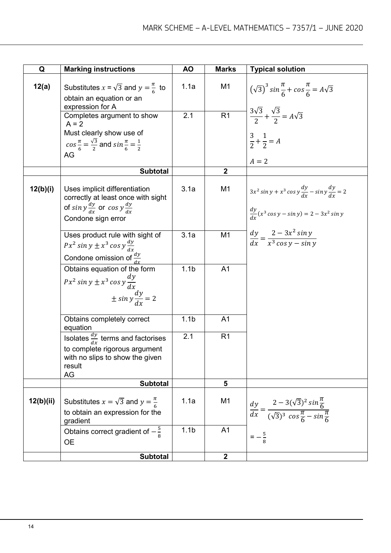| Q         | <b>Marking instructions</b>                                                                                                                         | <b>AO</b>        | <b>Marks</b>     | <b>Typical solution</b>                                                                                                       |
|-----------|-----------------------------------------------------------------------------------------------------------------------------------------------------|------------------|------------------|-------------------------------------------------------------------------------------------------------------------------------|
| 12(a)     | Substitutes $x = \sqrt{3}$ and $y = \frac{\pi}{6}$ to<br>obtain an equation or an<br>expression for A                                               | 1.1a             | M <sub>1</sub>   | $(\sqrt{3})^3 \sin{\frac{\pi}{6}} + \cos{\frac{\pi}{6}} = A\sqrt{3}$                                                          |
|           | Completes argument to show<br>$A = 2$<br>Must clearly show use of<br>$cos \frac{\pi}{6} = \frac{\sqrt{3}}{2}$ and $sin \frac{\pi}{6} = \frac{1}{2}$ | 2.1              | R1               | $\frac{3\sqrt{3}}{2} + \frac{\sqrt{3}}{2} = A\sqrt{3}$<br>$\frac{3}{2} + \frac{1}{2} = A$                                     |
|           | AG                                                                                                                                                  |                  |                  | $A = 2$                                                                                                                       |
|           | <b>Subtotal</b>                                                                                                                                     |                  | $\boldsymbol{2}$ |                                                                                                                               |
| 12(b)(i)  | Uses implicit differentiation<br>correctly at least once with sight<br>of sin $y \frac{dy}{dx}$ or cos $y \frac{dy}{dx}$<br>Condone sign error      | 3.1a             | M <sub>1</sub>   | $3x^2 \sin y + x^3 \cos y \frac{dy}{dx} - \sin y \frac{dy}{dx} = 2$<br>$\frac{dy}{dx}(x^3 \cos y - \sin y) = 2 - 3x^2 \sin y$ |
|           | Uses product rule with sight of<br>$Px^2 \sin y \pm x^3 \cos y \frac{dy}{dx}$<br>Condone omission of $\frac{dy}{dx}$                                | 3.1a             | M <sub>1</sub>   | $\frac{dy}{dx} = \frac{2 - 3x^2 \sin y}{x^3 \cos y - \sin y}$                                                                 |
|           | Obtains equation of the form<br>$Px^2 \sin y \pm x^3 \cos y \frac{dy}{dx}$<br>$\pm \sin y \frac{dy}{dx} = 2$                                        | 1.1 <sub>b</sub> | A <sub>1</sub>   |                                                                                                                               |
|           | Obtains completely correct<br>equation                                                                                                              | 1.1 <sub>b</sub> | A <sub>1</sub>   |                                                                                                                               |
|           | Isolates $\frac{dy}{dx}$ terms and factorises<br>to complete rigorous argument<br>with no slips to show the given<br>result<br>AG                   | 2.1              | R <sub>1</sub>   |                                                                                                                               |
|           | <b>Subtotal</b>                                                                                                                                     |                  | 5                |                                                                                                                               |
| 12(b)(ii) | Substitutes $x = \sqrt{3}$ and $y = \frac{\pi}{6}$<br>to obtain an expression for the<br>gradient                                                   | 1.1a             | M <sub>1</sub>   | $\frac{dy}{dx} = \frac{2 - 3(\sqrt{3})^2 \sin{\frac{\pi}{6}}}{(\sqrt{3})^3 \cos{\frac{\pi}{6}} - \sin{\frac{\pi}{6}}}$        |
|           | Obtains correct gradient of $-\frac{5}{6}$<br><b>OE</b>                                                                                             | 1.1 <sub>b</sub> | A <sub>1</sub>   | $=-\frac{5}{8}$                                                                                                               |
|           | <b>Subtotal</b>                                                                                                                                     |                  | $\boldsymbol{2}$ |                                                                                                                               |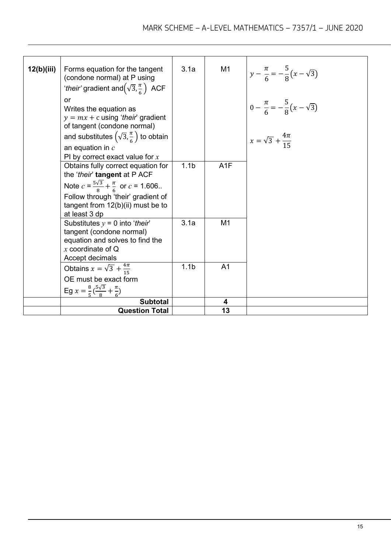| 12(b)(iii) | Forms equation for the tangent                                                                                                            | 3.1a             | M <sub>1</sub> | $y - \frac{\pi}{6} = -\frac{5}{8}(x - \sqrt{3})$ |
|------------|-------------------------------------------------------------------------------------------------------------------------------------------|------------------|----------------|--------------------------------------------------|
|            | (condone normal) at P using<br>'their' gradient and $(\sqrt{3}, \frac{\pi}{6})$ ACF                                                       |                  |                |                                                  |
|            | or                                                                                                                                        |                  |                |                                                  |
|            | Writes the equation as<br>$y = mx + c$ using 'their' gradient                                                                             |                  |                | $0 - \frac{\pi}{6} = -\frac{5}{8}(x - \sqrt{3})$ |
|            | of tangent (condone normal)                                                                                                               |                  |                |                                                  |
|            | and substitutes $(\sqrt{3}, \frac{\pi}{6})$ to obtain<br>an equation in $c$                                                               |                  |                | $x = \sqrt{3} + \frac{4\pi}{15}$                 |
|            | PI by correct exact value for $x$                                                                                                         |                  |                |                                                  |
|            | Obtains fully correct equation for<br>the 'their' tangent at P ACF                                                                        | 1.1 <sub>b</sub> | A1F            |                                                  |
|            | Note $c = \frac{5\sqrt{3}}{8} + \frac{\pi}{6}$ or $c = 1.606$ .                                                                           |                  |                |                                                  |
|            | Follow through 'their' gradient of<br>tangent from 12(b)(ii) must be to<br>at least 3 dp                                                  |                  |                |                                                  |
|            | Substitutes $y = 0$ into 'their'<br>tangent (condone normal)<br>equation and solves to find the<br>x coordinate of $Q$<br>Accept decimals | 3.1a             | M1             |                                                  |
|            | Obtains $x = \sqrt{3} + \frac{4\pi}{15}$                                                                                                  | 1.1 <sub>b</sub> | A <sub>1</sub> |                                                  |
|            | OE must be exact form                                                                                                                     |                  |                |                                                  |
|            | Eg $x = \frac{8}{5}(\frac{5\sqrt{3}}{8} + \frac{\pi}{6})$                                                                                 |                  |                |                                                  |
|            | <b>Subtotal</b>                                                                                                                           |                  | 4              |                                                  |
|            | <b>Question Total</b>                                                                                                                     |                  | 13             |                                                  |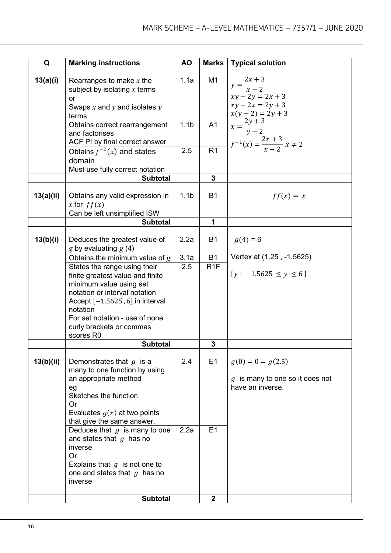| Q         | <b>Marking instructions</b>                                                                                                                                                                                                                                       | <b>AO</b>        | <b>Marks</b>     | <b>Typical solution</b>                                                               |
|-----------|-------------------------------------------------------------------------------------------------------------------------------------------------------------------------------------------------------------------------------------------------------------------|------------------|------------------|---------------------------------------------------------------------------------------|
| 13(a)(i)  | Rearranges to make $x$ the<br>subject by isolating $x$ terms<br><b>or</b><br>Swaps $x$ and $y$ and isolates $y$<br>terms                                                                                                                                          | 1.1a             | M1               | $y=\frac{2x+3}{x-2}$<br>$xy - 2y = 2x + 3$<br>$xy - 2x = 2y + 3$<br>$x(y-2) = 2y + 3$ |
|           | Obtains correct rearrangement<br>and factorises<br>ACF PI by final correct answer                                                                                                                                                                                 | 1.1 <sub>b</sub> | A1               | $x=\frac{2y+3}{y-2}$<br>$f^{-1}(x) = \frac{2x+3}{x-2} x \neq 2$                       |
|           | Obtains $f^{-1}(x)$ and states<br>domain<br>Must use fully correct notation                                                                                                                                                                                       | 2.5              | R <sub>1</sub>   |                                                                                       |
|           | <b>Subtotal</b>                                                                                                                                                                                                                                                   |                  | $\mathbf{3}$     |                                                                                       |
| 13(a)(ii) | Obtains any valid expression in<br>x for $ff(x)$<br>Can be left unsimplified ISW                                                                                                                                                                                  | 1.1 <sub>b</sub> | <b>B1</b>        | $ff(x) = x$                                                                           |
|           | <b>Subtotal</b>                                                                                                                                                                                                                                                   |                  | 1                |                                                                                       |
| 13(b)(i)  | Deduces the greatest value of<br>g by evaluating $g(4)$                                                                                                                                                                                                           | 2.2a             | <b>B1</b>        | $g(4) = 6$                                                                            |
|           | Obtains the minimum value of $g$                                                                                                                                                                                                                                  | 3.1a             | <b>B1</b>        | Vertex at (1.25, -1.5625)                                                             |
|           | States the range using their<br>finite greatest value and finite<br>minimum value using set<br>notation or interval notation<br>Accept $[-1.5625, 6]$ in interval<br>notation<br>For set notation - use of none<br>curly brackets or commas<br>scores R0          | 2.5              | R <sub>1</sub> F | $\{y: -1.5625 \le y \le 6\}$                                                          |
|           | <b>Subtotal</b>                                                                                                                                                                                                                                                   |                  | 3                |                                                                                       |
| 13(b)(ii) | Demonstrates that $g$ is a<br>many to one function by using<br>an appropriate method<br>eg<br>Sketches the function<br><b>Or</b><br>Evaluates $g(x)$ at two points<br>that give the same answer.<br>Deduces that $g$ is many to one<br>and states that $g$ has no | 2.4<br>2.2a      | E1<br>E1         | $g(0) = 0 = g(2.5)$<br>$g$ is many to one so it does not<br>have an inverse.          |
|           | inverse<br><b>Or</b><br>Explains that $g$ is not one to<br>one and states that $g$ has no<br>inverse<br><b>Subtotal</b>                                                                                                                                           |                  | $\boldsymbol{2}$ |                                                                                       |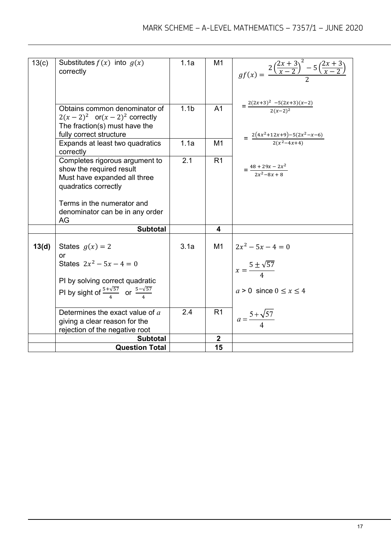| 13(c) | Substitutes $f(x)$ into $g(x)$                                    | 1.1a             | M <sub>1</sub> |                                                                                       |
|-------|-------------------------------------------------------------------|------------------|----------------|---------------------------------------------------------------------------------------|
|       | correctly                                                         |                  |                | $gf(x) = \frac{2\left(\frac{2x+3}{x-2}\right)^2 - 5\left(\frac{2x+3}{x-2}\right)}{2}$ |
|       |                                                                   |                  |                |                                                                                       |
|       |                                                                   |                  |                |                                                                                       |
|       |                                                                   |                  |                |                                                                                       |
|       | Obtains common denominator of                                     | 1.1 <sub>b</sub> | A <sub>1</sub> | $=\frac{2(2x+3)^2-5(2x+3)(x-2)}{2(x-2)^2}$                                            |
|       | $2(x-2)^2$ or $(x-2)^2$ correctly                                 |                  |                |                                                                                       |
|       | The fraction(s) must have the                                     |                  |                |                                                                                       |
|       | fully correct structure                                           | 1.1a             | M1             | $=\frac{2(4x^2+12x+9)-5(2x^2-x-6)}{2(x^2-4x+4)}$                                      |
|       | Expands at least two quadratics<br>correctly                      |                  |                |                                                                                       |
|       | Completes rigorous argument to                                    | 2.1              | R <sub>1</sub> |                                                                                       |
|       | show the required result                                          |                  |                | $=\frac{48+29x-2x^2}{2x^2-9x+9}$                                                      |
|       | Must have expanded all three                                      |                  |                |                                                                                       |
|       | quadratics correctly                                              |                  |                |                                                                                       |
|       | Terms in the numerator and                                        |                  |                |                                                                                       |
|       | denominator can be in any order                                   |                  |                |                                                                                       |
|       | AG                                                                |                  |                |                                                                                       |
|       | <b>Subtotal</b>                                                   |                  | 4              |                                                                                       |
|       |                                                                   |                  |                |                                                                                       |
| 13(d) | States $g(x) = 2$                                                 | 3.1a             | M1             | $2x^2 - 5x - 4 = 0$                                                                   |
|       | or                                                                |                  |                |                                                                                       |
|       | States $2x^2 - 5x - 4 = 0$                                        |                  |                | $x = \frac{5 \pm \sqrt{57}}{4}$                                                       |
|       | PI by solving correct quadratic                                   |                  |                |                                                                                       |
|       | PI by sight of $\frac{5+\sqrt{57}}{4}$ or $\frac{5-\sqrt{57}}{4}$ |                  |                | $a > 0$ since $0 \leq x \leq 4$                                                       |
|       |                                                                   |                  |                |                                                                                       |
|       | Determines the exact value of a                                   | 2.4              | R1             | $a = \frac{5 + \sqrt{57}}{4}$                                                         |
|       | giving a clear reason for the                                     |                  |                |                                                                                       |
|       | rejection of the negative root                                    |                  |                |                                                                                       |
|       | <b>Subtotal</b>                                                   |                  | $\overline{2}$ |                                                                                       |
|       | <b>Question Total</b>                                             |                  | 15             |                                                                                       |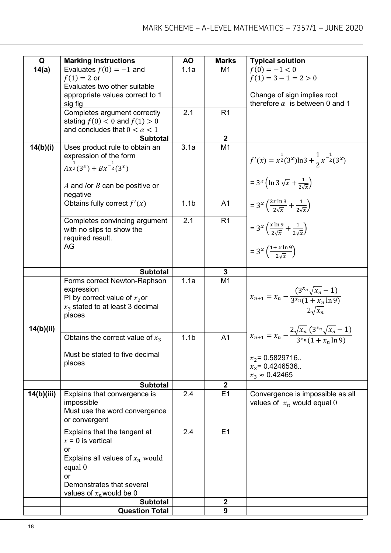| Q          | <b>Marking instructions</b>                      | <b>AO</b>        | <b>Marks</b>     | <b>Typical solution</b>                                                        |
|------------|--------------------------------------------------|------------------|------------------|--------------------------------------------------------------------------------|
| 14(a)      | Evaluates $f(0) = -1$ and                        | 1.1a             | M1               | $f(0) = -1 < 0$                                                                |
|            | $f(1) = 2$ or                                    |                  |                  | $f(1) = 3 - 1 = 2 > 0$                                                         |
|            | Evaluates two other suitable                     |                  |                  |                                                                                |
|            | appropriate values correct to 1                  |                  |                  | Change of sign implies root                                                    |
|            | sig fig                                          |                  |                  | therefore $\alpha$ is between 0 and 1                                          |
|            | Completes argument correctly                     | 2.1              | R <sub>1</sub>   |                                                                                |
|            | stating $f(0) < 0$ and $f(1) > 0$                |                  |                  |                                                                                |
|            | and concludes that $0 < \alpha < 1$              |                  |                  |                                                                                |
|            | <b>Subtotal</b>                                  |                  | $\boldsymbol{2}$ |                                                                                |
| 14(b)(i)   | Uses product rule to obtain an                   | 3.1a             | M1               |                                                                                |
|            | expression of the form                           |                  |                  | $f'(x) = x^{\frac{1}{2}}(3^x) \ln 3 + \frac{1}{2} x^{-\frac{1}{2}}(3^x)$       |
|            | $Ax^{\frac{1}{2}}(3^x) + Bx^{-\frac{1}{2}}(3^x)$ |                  |                  |                                                                                |
|            |                                                  |                  |                  |                                                                                |
|            | A and /or $B$ can be positive or                 |                  |                  | = $3^{x}$ (ln $3\sqrt{x} + \frac{1}{2\sqrt{x}}$ )                              |
|            | negative                                         |                  |                  |                                                                                |
|            | Obtains fully correct $f'(x)$                    | 1.1 <sub>b</sub> | A <sub>1</sub>   | = $3^x \left( \frac{2x \ln 3}{2 \sqrt{x}} + \frac{1}{2 \sqrt{x}} \right)$      |
|            |                                                  |                  |                  |                                                                                |
|            | Completes convincing argument                    | 2.1              | R1               |                                                                                |
|            | with no slips to show the                        |                  |                  | = $3^x \left(\frac{x \ln 9}{2\sqrt{x}} + \frac{1}{2\sqrt{x}}\right)$           |
|            | required result.                                 |                  |                  |                                                                                |
|            | AG                                               |                  |                  | $= 3^x \left( \frac{1 + x \ln 9}{2\sqrt{x}} \right)$                           |
|            |                                                  |                  |                  |                                                                                |
|            |                                                  |                  |                  |                                                                                |
|            | <b>Subtotal</b>                                  |                  | 3                |                                                                                |
|            | Forms correct Newton-Raphson                     | 1.1a             | M <sub>1</sub>   |                                                                                |
|            | expression                                       |                  |                  | $x_{n+1} = x_n - \frac{(3^{x_n}\sqrt{x_n-1})}{3^{x_n}(1+x_n\ln 9)}$            |
|            | PI by correct value of $x_2$ or                  |                  |                  |                                                                                |
|            | $x_3$ stated to at least 3 decimal               |                  |                  |                                                                                |
|            | places                                           |                  |                  |                                                                                |
| 14(b)(ii)  |                                                  |                  |                  |                                                                                |
|            | Obtains the correct value of $x_3$               | 1.1 <sub>b</sub> | A <sub>1</sub>   | $x_{n+1} = x_n - \frac{2\sqrt{x_n(3^{x_n}\sqrt{x_n}-1)}}{3^{x_n}(1+x_n\ln 9)}$ |
|            |                                                  |                  |                  |                                                                                |
|            | Must be stated to five decimal                   |                  |                  | $x_2$ = 0.5829716                                                              |
|            | places                                           |                  |                  | $x_3$ = 0.4246536.                                                             |
|            |                                                  |                  |                  | $x_3 \approx 0.42465$                                                          |
|            | <b>Subtotal</b>                                  |                  | $\mathbf{2}$     |                                                                                |
| 14(b)(iii) | Explains that convergence is                     | 2.4              | E1               | Convergence is impossible as all                                               |
|            | impossible                                       |                  |                  | values of $x_n$ would equal 0                                                  |
|            | Must use the word convergence                    |                  |                  |                                                                                |
|            | or convergent                                    |                  |                  |                                                                                |
|            | Explains that the tangent at                     | 2.4              | E <sub>1</sub>   |                                                                                |
|            | $x = 0$ is vertical                              |                  |                  |                                                                                |
|            | or                                               |                  |                  |                                                                                |
|            | Explains all values of $x_n$ would               |                  |                  |                                                                                |
|            | equal 0                                          |                  |                  |                                                                                |
|            | or                                               |                  |                  |                                                                                |
|            | Demonstrates that several                        |                  |                  |                                                                                |
|            | values of $x_n$ would be 0                       |                  |                  |                                                                                |
|            | <b>Subtotal</b>                                  |                  | $\mathbf{2}$     |                                                                                |
|            | <b>Question Total</b>                            |                  | 9                |                                                                                |
|            |                                                  |                  |                  |                                                                                |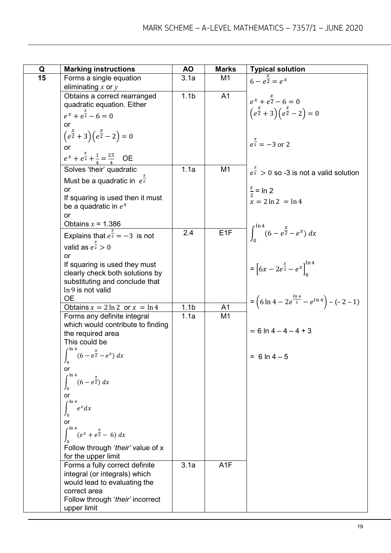| Q  | <b>Marking instructions</b>                                      | ΑO               | <b>Marks</b>     | <b>Typical solution</b>                                                 |
|----|------------------------------------------------------------------|------------------|------------------|-------------------------------------------------------------------------|
| 15 | Forms a single equation                                          | 3.1a             | M1               | $6 - e^{\frac{x}{2}} = e^x$                                             |
|    | eliminating $x$ or $y$                                           |                  |                  |                                                                         |
|    | Obtains a correct rearranged                                     | 1.1 <sub>b</sub> | A <sub>1</sub>   | $e^{x} + e^{\frac{x}{2}} - 6 = 0$                                       |
|    | quadratic equation. Either                                       |                  |                  |                                                                         |
|    | $e^{x} + e^{\frac{x}{2}} - 6 = 0$                                |                  |                  | $\left(e^{\frac{x}{2}}+3\right)\left(e^{\frac{x}{2}}-2\right)=0$        |
|    | or                                                               |                  |                  |                                                                         |
|    | $\left(e^{\frac{x}{2}}+3\right)\left(e^{\frac{x}{2}}-2\right)=0$ |                  |                  |                                                                         |
|    |                                                                  |                  |                  | $e^{\frac{x}{2}} = -3$ or 2                                             |
|    | or                                                               |                  |                  |                                                                         |
|    | $e^{x} + e^{\frac{x}{2}} + \frac{1}{4} = \frac{25}{4}$ OE        |                  |                  |                                                                         |
|    | Solves 'their' quadratic                                         | 1.1a             | M <sub>1</sub>   | $e^{\frac{x}{2}} > 0$ so -3 is not a valid solution                     |
|    | Must be a quadratic in $e^{\frac{1}{2}}$                         |                  |                  |                                                                         |
|    | or                                                               |                  |                  | $\frac{x}{2}$ = ln 2                                                    |
|    | If squaring is used then it must                                 |                  |                  | $x = 2 \ln 2 = \ln 4$                                                   |
|    | be a quadratic in $e^x$                                          |                  |                  |                                                                         |
|    | or                                                               |                  |                  |                                                                         |
|    | Obtains $x = 1.386$                                              |                  |                  |                                                                         |
|    | Explains that $e^{\frac{a}{2}} = -3$ is not                      | 2.4              | E <sub>1F</sub>  | $\int_{0}^{\ln 4} (6 - e^{\frac{x}{2}} - e^x) dx$                       |
|    | valid as $e^{\frac{x}{2}} > 0$                                   |                  |                  |                                                                         |
|    | <b>or</b>                                                        |                  |                  |                                                                         |
|    | If squaring is used they must                                    |                  |                  | = $\left[6x - 2e^{\frac{x}{2}} - e^x\right]_0^{\ln 4}$                  |
|    | clearly check both solutions by                                  |                  |                  |                                                                         |
|    | substituting and conclude that                                   |                  |                  |                                                                         |
|    | In 9 is not valid                                                |                  |                  |                                                                         |
|    | <b>OE</b>                                                        |                  |                  | $=\left(6\ln 4-2e^{\frac{\ln 4}{2}}-e^{\ln 4}\right)-\left(-2-1\right)$ |
|    | Obtains $x = 2 \ln 2$ or $x = \ln 4$                             | 1.1 <sub>b</sub> | A <sub>1</sub>   |                                                                         |
|    | Forms any definite integral                                      | 1.1a             | M <sub>1</sub>   |                                                                         |
|    | which would contribute to finding<br>the required area           |                  |                  | $= 6 \ln 4 - 4 - 4 + 3$                                                 |
|    | This could be                                                    |                  |                  |                                                                         |
|    |                                                                  |                  |                  |                                                                         |
|    | $\int_{0}^{4} (6 - e^{\frac{x}{2}} - e^x) dx$<br>$J_0$           |                  |                  | $= 6 \ln 4 - 5$                                                         |
|    | or                                                               |                  |                  |                                                                         |
|    | $r \ln 4$<br>$(6-e^{\frac{x}{2}}) dx$                            |                  |                  |                                                                         |
|    |                                                                  |                  |                  |                                                                         |
|    | or                                                               |                  |                  |                                                                         |
|    | $r \ln 4$<br>$e^x dx$                                            |                  |                  |                                                                         |
|    | Jo                                                               |                  |                  |                                                                         |
|    | or                                                               |                  |                  |                                                                         |
|    | $\int^{\ln 4} (e^x + e^{\frac{x}{2}} - 6) dx$                    |                  |                  |                                                                         |
|    |                                                                  |                  |                  |                                                                         |
|    | Follow through 'their' value of x<br>for the upper limit         |                  |                  |                                                                         |
|    | Forms a fully correct definite                                   | 3.1a             | A <sub>1</sub> F |                                                                         |
|    | integral (or integrals) which                                    |                  |                  |                                                                         |
|    | would lead to evaluating the                                     |                  |                  |                                                                         |
|    | correct area                                                     |                  |                  |                                                                         |
|    | Follow through 'their' incorrect                                 |                  |                  |                                                                         |
|    | upper limit                                                      |                  |                  |                                                                         |